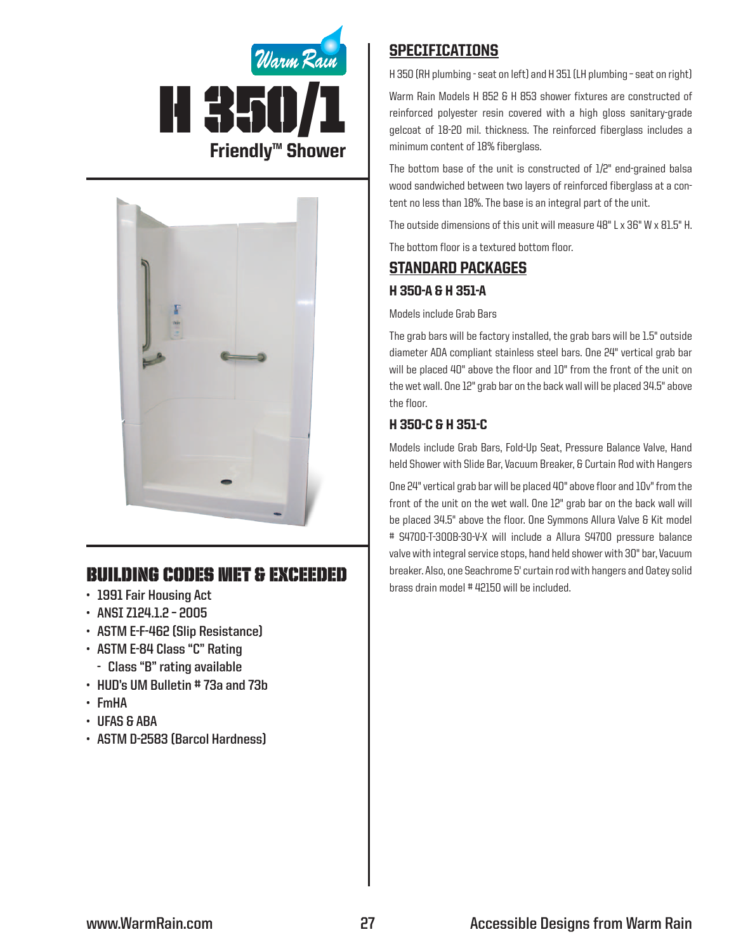



# Building Codes Met & EXCEEDED

- **• 1991 Fair Housing Act**
- **• ANSI Z124.1.2 – 2005**
- **• ASTM E-F-462 (Slip Resistance)**
- **• ASTM E-84 Class "C" Rating**
	- **- Class "B" rating available**
- **• HUD's UM Bulletin # 73a and 73b**
- **• FmHA**
- **• UFAS & ABA**
- **• ASTM D-2583 (Barcol Hardness)**

## **SPECIFICATIONS**

H 350 (RH plumbing - seat on left) and H 351 (LH plumbing – seat on right)

Warm Rain Models H 852 & H 853 shower fixtures are constructed of reinforced polyester resin covered with a high gloss sanitary-grade gelcoat of 18-20 mil. thickness. The reinforced fiberglass includes a minimum content of 18% fiberglass.

The bottom base of the unit is constructed of 1/2" end-grained balsa wood sandwiched between two layers of reinforced fiberglass at a content no less than 18%. The base is an integral part of the unit.

The outside dimensions of this unit will measure 48" L x 36" W x 81.5" H.

The bottom floor is a textured bottom floor.

# Standard packages H 350-A & H 351-A

### Models include Grab Bars

The grab bars will be factory installed, the grab bars will be 1.5" outside diameter ADA compliant stainless steel bars. One 24" vertical grab bar will be placed 40" above the floor and 10" from the front of the unit on the wet wall. One 12" grab bar on the back wall will be placed 34.5" above the floor.

## H 350-C & H 351-C

Models include Grab Bars, Fold-Up Seat, Pressure Balance Valve, Hand held Shower with Slide Bar, Vacuum Breaker, & Curtain Rod with Hangers

One 24" vertical grab bar will be placed 40" above floor and 10v" from the front of the unit on the wet wall. One 12" grab bar on the back wall will be placed 34.5" above the floor. One Symmons Allura Valve & Kit model # S4700-T-300B-30-V-X will include a Allura S4700 pressure balance valve with integral service stops, hand held shower with 30" bar, Vacuum breaker. Also, one Seachrome 5' curtain rod with hangers and Oatey solid brass drain model # 42150 will be included.